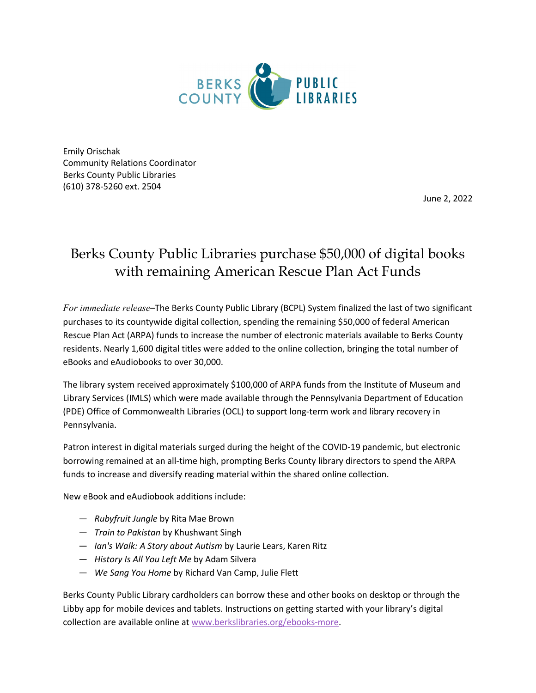

Emily Orischak Community Relations Coordinator Berks County Public Libraries (610) 378-5260 ext. 2504

June 2, 2022

## Berks County Public Libraries purchase \$50,000 of digital books with remaining American Rescue Plan Act Funds

*For immediate release–*The Berks County Public Library (BCPL) System finalized the last of two significant purchases to its countywide digital collection, spending the remaining \$50,000 of federal American Rescue Plan Act (ARPA) funds to increase the number of electronic materials available to Berks County residents. Nearly 1,600 digital titles were added to the online collection, bringing the total number of eBooks and eAudiobooks to over 30,000.

The library system received approximately \$100,000 of ARPA funds from the Institute of Museum and Library Services (IMLS) which were made available through the Pennsylvania Department of Education (PDE) Office of Commonwealth Libraries (OCL) to support long-term work and library recovery in Pennsylvania.

Patron interest in digital materials surged during the height of the COVID-19 pandemic, but electronic borrowing remained at an all-time high, prompting Berks County library directors to spend the ARPA funds to increase and diversify reading material within the shared online collection.

New eBook and eAudiobook additions include:

- *Rubyfruit Jungle* by Rita Mae Brown
- *Train to Pakistan* by Khushwant Singh
- *Ian's Walk: A Story about Autism* by Laurie Lears, Karen Ritz
- *History Is All You Left Me* by Adam Silvera
- *We Sang You Home* by Richard Van Camp, Julie Flett

Berks County Public Library cardholders can borrow these and other books on desktop or through the Libby app for mobile devices and tablets. Instructions on getting started with your library's digital collection are available online at [www.berkslibraries.org/](http://www.berkslibraries.org/)ebooks-more.